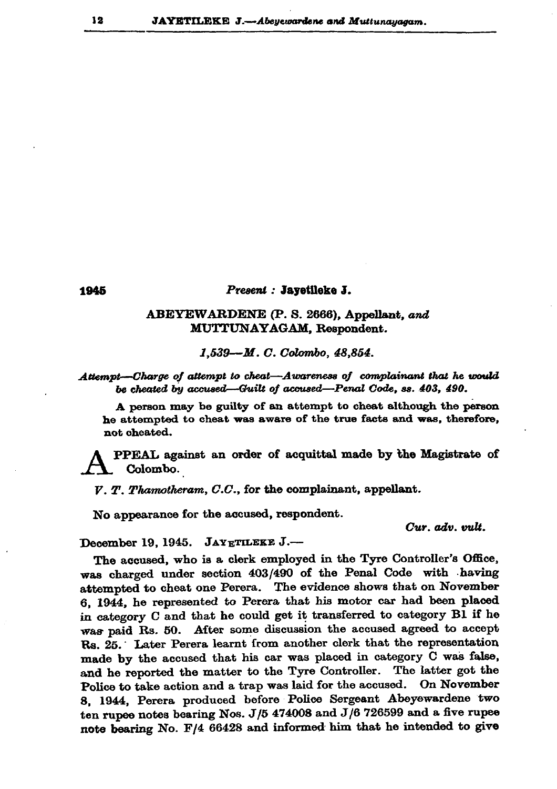## 1945

## Present : Jayetileke J.

## ABEYEWARDENE (P. S. 2666), Appellant, and MUTTUNAYAGAM, Respondent.

1,539-M.C. Colombo, 48,854.

Attempt-Charge of attempt to cheat-Awareness of complainant that he would be cheated by accused—Guilt of accused—Penal Code, ss. 403, 490.

A person may be guilty of an attempt to cheat although the person he attempted to cheat was aware of the true facts and was, therefore, not cheated.

PPEAL against an order of acquittal made by the Magistrate of Colombo.

 $V, T, Thamotheram, C.C.,$  for the complainant, appellant.

No appearance for the accused, respondent.

Cur. adv. vult.

December 19, 1945. JAYETILEKE J .--

The accused, who is a clerk employed in the Tyre Controller's Office, was charged under section 403/490 of the Penal Code with having attempted to cheat one Perera. The evidence shows that on November 6, 1944, he represented to Perera that his motor car had been placed in category C and that he could get it transferred to category B1 if he was paid Rs. 50. After some discussion the accused agreed to accept Rs. 25. Later Perera learnt from another clerk that the representation made by the accused that his car was placed in category C was false, and he reported the matter to the Tyre Controller. The latter got the Police to take action and a trap was laid for the accused. On November 8, 1944, Perera produced before Police Sergeant Abeyewardene two ten rupee notes bearing Nos.  $J/5$  474008 and  $J/6$  726599 and a five rupee note bearing No. F/4 66428 and informed him that he intended to give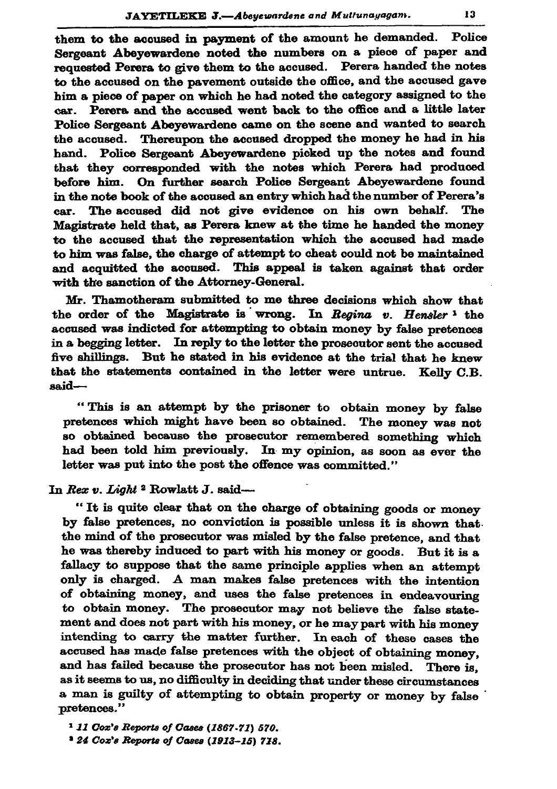them to the accused in payment of the amount he demanded. Police Sergeant Abeyewardene noted the numbers on a piece of paper and requested Perera to give them to the accused. Perera handed the notes to the accused on the pavement outside the office, and the accused gave him a piece of paper on which he had noted the category assigned to the Perera and the accused went back to the office and a little later car. Police Sergeant Abeyewardene came on the scene and wanted to search the accused. Thereupon the accused dropped the money he had in his hand. Police Sergeant Abeyewardene picked up the notes and found that they corresponded with the notes which Perera had produced before him. On further search Police Sergeant Abeyewardene found in the note book of the accused an entry which had the number of Perera's car. The accused did not give evidence on his own behalf. The Magistrate held that, as Perera knew at the time he handed the money to the accused that the representation which the accused had made to him was false, the charge of attempt to cheat could not be maintained and acquitted the accused. This appeal is taken against that order with the sanction of the Attorney-General.

Mr. Thamotheram submitted to me three decisions which show that the order of the Magistrate is wrong. In Regina  $v$ . Hensler<sup>1</sup> the accused was indicted for attempting to obtain money by false pretences in a begging letter. In reply to the letter the prosecutor sent the accused five shillings. But he stated in his evidence at the trial that he knew that the statements contained in the letter were untrue. Kelly C.B. said-

"This is an attempt by the prisoner to obtain money by false pretences which might have been so obtained. The money was not so obtained because the prosecutor remembered something which had been told him previously. In my opinion, as soon as ever the letter was put into the post the offence was committed."

## In Rex v. Light <sup>2</sup> Rowlatt J. said-

"It is quite clear that on the charge of obtaining goods or money by false pretences, no conviction is possible unless it is shown that the mind of the prosecutor was misled by the false pretence, and that he was thereby induced to part with his money or goods. But it is a fallacy to suppose that the same principle applies when an attempt only is charged. A man makes false pretences with the intention of obtaining money, and uses the false pretences in endeavouring to obtain money. The prosecutor may not believe the false statement and does not part with his money, or he may part with his money intending to carry the matter further. In each of these cases the accused has made false pretences with the object of obtaining money, and has failed because the prosecutor has not been misled. There is, as it seems to us, no difficulty in deciding that under these circumstances a man is guilty of attempting to obtain property or money by false pretences."

<sup>1</sup> 11 Cox's Reports of Cases (1867-71) 570.

<sup>2</sup> 24 Cox's Reports of Cases (1913-15) 718.